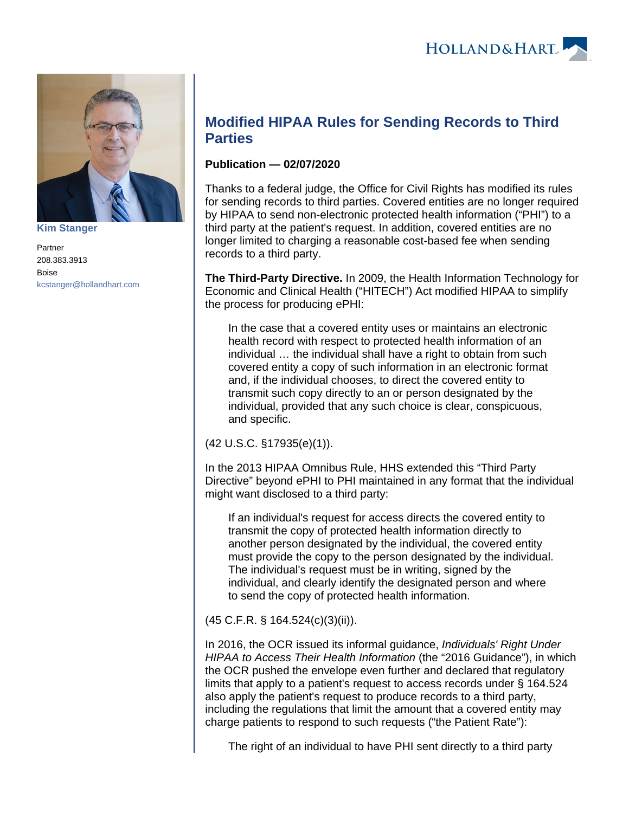

**[Kim Stanger](https://www.hollandhart.com/15954)**

Partner 208.383.3913 Boise [kcstanger@hollandhart.com](mailto:kcstanger@hollandhart.com)

## **Modified HIPAA Rules for Sending Records to Third Parties**

## **Publication — 02/07/2020**

Thanks to a federal judge, the Office for Civil Rights has modified its rules for sending records to third parties. Covered entities are no longer required by HIPAA to send non-electronic protected health information ("PHI") to a third party at the patient's request. In addition, covered entities are no longer limited to charging a reasonable cost-based fee when sending records to a third party.

**The Third-Party Directive.** In 2009, the Health Information Technology for Economic and Clinical Health ("HITECH") Act modified HIPAA to simplify the process for producing ePHI:

In the case that a covered entity uses or maintains an electronic health record with respect to protected health information of an individual … the individual shall have a right to obtain from such covered entity a copy of such information in an electronic format and, if the individual chooses, to direct the covered entity to transmit such copy directly to an or person designated by the individual, provided that any such choice is clear, conspicuous, and specific.

(42 U.S.C. §17935(e)(1)).

In the 2013 HIPAA Omnibus Rule, HHS extended this "Third Party Directive" beyond ePHI to PHI maintained in any format that the individual might want disclosed to a third party:

If an individual's request for access directs the covered entity to transmit the copy of protected health information directly to another person designated by the individual, the covered entity must provide the copy to the person designated by the individual. The individual's request must be in writing, signed by the individual, and clearly identify the designated person and where to send the copy of protected health information.

(45 C.F.R. § 164.524(c)(3)(ii)).

In 2016, the OCR issued its informal guidance, Individuals' Right Under HIPAA to Access Their Health Information (the "2016 Guidance"), in which the OCR pushed the envelope even further and declared that regulatory limits that apply to a patient's request to access records under § 164.524 also apply the patient's request to produce records to a third party, including the regulations that limit the amount that a covered entity may charge patients to respond to such requests ("the Patient Rate"):

The right of an individual to have PHI sent directly to a third party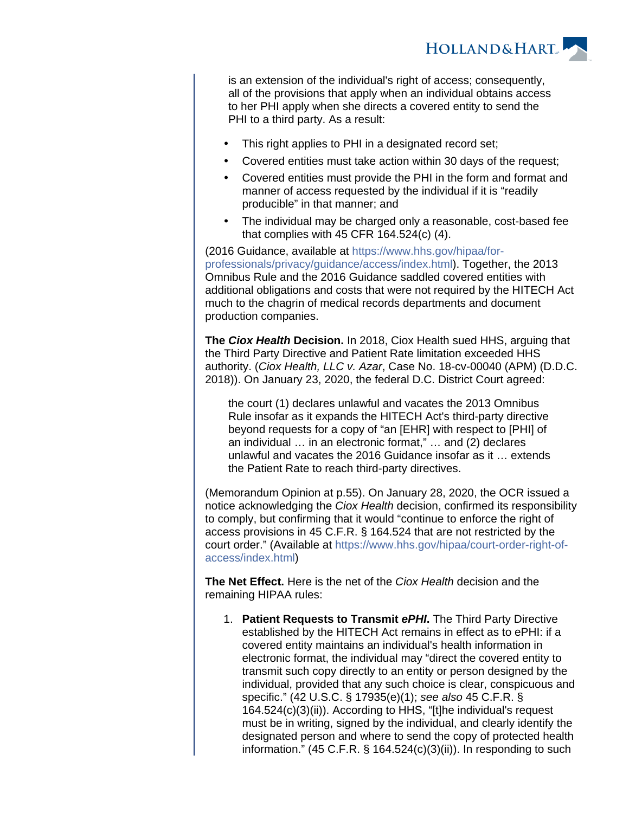

is an extension of the individual's right of access; consequently, all of the provisions that apply when an individual obtains access to her PHI apply when she directs a covered entity to send the PHI to a third party. As a result:

- This right applies to PHI in a designated record set;
- Covered entities must take action within 30 days of the request;
- Covered entities must provide the PHI in the form and format and manner of access requested by the individual if it is "readily producible" in that manner; and
- The individual may be charged only a reasonable, cost-based fee that complies with 45 CFR 164.524(c) (4).

(2016 Guidance, available at [https://www.hhs.gov/hipaa/for](https://www.hhs.gov/hipaa/for-professionals/privacy/guidance/access/index.html)[professionals/privacy/guidance/access/index.html\)](https://www.hhs.gov/hipaa/for-professionals/privacy/guidance/access/index.html). Together, the 2013 Omnibus Rule and the 2016 Guidance saddled covered entities with additional obligations and costs that were not required by the HITECH Act much to the chagrin of medical records departments and document production companies.

**The Ciox Health Decision.** In 2018, Ciox Health sued HHS, arguing that the Third Party Directive and Patient Rate limitation exceeded HHS authority. (Ciox Health, LLC v. Azar, Case No. 18-cv-00040 (APM) (D.D.C. 2018)). On January 23, 2020, the federal D.C. District Court agreed:

the court (1) declares unlawful and vacates the 2013 Omnibus Rule insofar as it expands the HITECH Act's third-party directive beyond requests for a copy of "an [EHR] with respect to [PHI] of an individual … in an electronic format," … and (2) declares unlawful and vacates the 2016 Guidance insofar as it … extends the Patient Rate to reach third-party directives.

(Memorandum Opinion at p.55). On January 28, 2020, the OCR issued a notice acknowledging the Ciox Health decision, confirmed its responsibility to comply, but confirming that it would "continue to enforce the right of access provisions in 45 C.F.R. § 164.524 that are not restricted by the court order." (Available at [https://www.hhs.gov/hipaa/court-order-right-of](https://www.hhs.gov/hipaa/court-order-right-of-access/index.html)[access/index.html](https://www.hhs.gov/hipaa/court-order-right-of-access/index.html))

**The Net Effect.** Here is the net of the Ciox Health decision and the remaining HIPAA rules:

1. **Patient Requests to Transmit ePHI.** The Third Party Directive established by the HITECH Act remains in effect as to ePHI: if a covered entity maintains an individual's health information in electronic format, the individual may "direct the covered entity to transmit such copy directly to an entity or person designed by the individual, provided that any such choice is clear, conspicuous and specific." (42 U.S.C. § 17935(e)(1); see also 45 C.F.R. § 164.524(c)(3)(ii)). According to HHS, "[t]he individual's request must be in writing, signed by the individual, and clearly identify the designated person and where to send the copy of protected health information." (45 C.F.R. § 164.524(c)(3)(ii)). In responding to such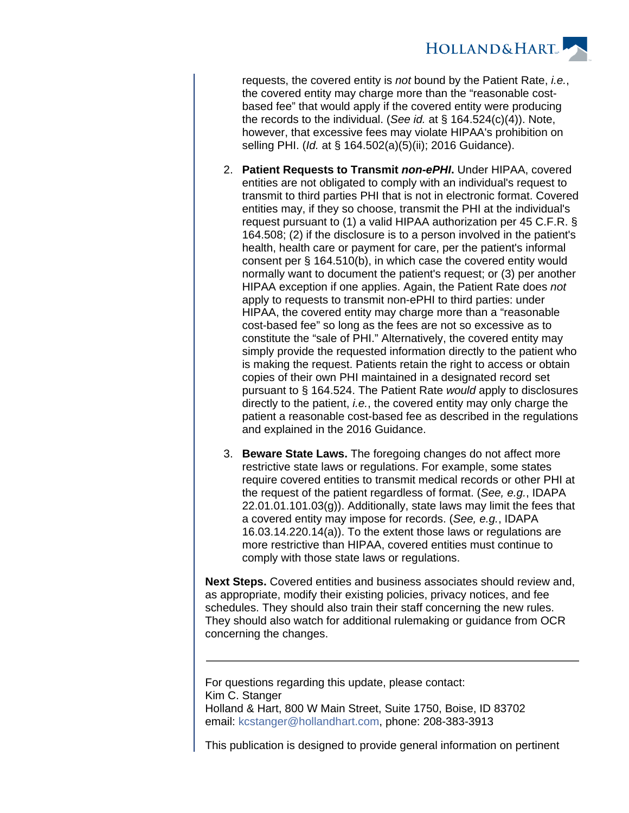

requests, the covered entity is not bound by the Patient Rate, *i.e.*, the covered entity may charge more than the "reasonable costbased fee" that would apply if the covered entity were producing the records to the individual. (See id. at § 164.524(c)(4)). Note, however, that excessive fees may violate HIPAA's prohibition on selling PHI. (Id. at § 164.502(a)(5)(ii); 2016 Guidance).

- 2. **Patient Requests to Transmit non-ePHI.** Under HIPAA, covered entities are not obligated to comply with an individual's request to transmit to third parties PHI that is not in electronic format. Covered entities may, if they so choose, transmit the PHI at the individual's request pursuant to (1) a valid HIPAA authorization per 45 C.F.R. § 164.508; (2) if the disclosure is to a person involved in the patient's health, health care or payment for care, per the patient's informal consent per § 164.510(b), in which case the covered entity would normally want to document the patient's request; or (3) per another HIPAA exception if one applies. Again, the Patient Rate does not apply to requests to transmit non-ePHI to third parties: under HIPAA, the covered entity may charge more than a "reasonable cost-based fee" so long as the fees are not so excessive as to constitute the "sale of PHI." Alternatively, the covered entity may simply provide the requested information directly to the patient who is making the request. Patients retain the right to access or obtain copies of their own PHI maintained in a designated record set pursuant to § 164.524. The Patient Rate would apply to disclosures directly to the patient, *i.e.*, the covered entity may only charge the patient a reasonable cost-based fee as described in the regulations and explained in the 2016 Guidance.
- 3. **Beware State Laws.** The foregoing changes do not affect more restrictive state laws or regulations. For example, some states require covered entities to transmit medical records or other PHI at the request of the patient regardless of format. (See, e.g., IDAPA 22.01.01.101.03(g)). Additionally, state laws may limit the fees that a covered entity may impose for records. (See, e.g., IDAPA 16.03.14.220.14(a)). To the extent those laws or regulations are more restrictive than HIPAA, covered entities must continue to comply with those state laws or regulations.

**Next Steps.** Covered entities and business associates should review and, as appropriate, modify their existing policies, privacy notices, and fee schedules. They should also train their staff concerning the new rules. They should also watch for additional rulemaking or guidance from OCR concerning the changes.

For questions regarding this update, please contact: Kim C. Stanger Holland & Hart, 800 W Main Street, Suite 1750, Boise, ID 83702 email: [kcstanger@hollandhart.com](mailto:kcstanger@hollandhart.com), phone: 208-383-3913

This publication is designed to provide general information on pertinent